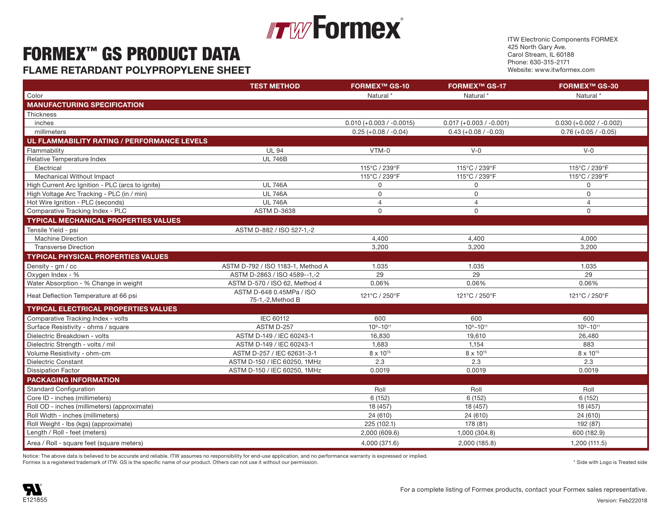## **Formex**®  $\mathbb{F}$  is the state  $\mathbb{F}$   $\mathbb{F}$   $\mathbb{F}$   $\mathbb{F}$   $\mathbb{F}$   $\mathbb{F}$   $\mathbb{F}$   $\mathbb{F}$   $\mathbb{F}$   $\mathbb{F}$   $\mathbb{F}$   $\mathbb{F}$   $\mathbb{F}$   $\mathbb{F}$   $\mathbb{F}$   $\mathbb{F}$   $\mathbb{F}$   $\mathbb{F}$   $\mathbb{F}$   $\mathbb{F}$   $\mathbb{F}$   $\mathbb{F}$  Relative Temperature Index UL 746B

## $\mathsf{FORMEX}^{\mathsf{TM}}$  as  $\mathsf{PROBUCT}$  distribution  $\mathsf{PATA}$  and  $\mathsf{Card\,Strem, IL 60188}$  and  $\mathsf{Card\,Strem, IL 60188}$

**FLAME RETARDANT POLYPROPYLENE SHEET SULFARE AND RETAINED A SULFARE SULFARE SULFARE SULFARE AND RETAINED ASSULTED** 

ITW Electronic Components FORMEX 425 North Gary Ave. Carol Stream, IL 60188 Phone: 630-315-2171 Website: www.itwformex.com

|                                                  | <b>TEST METHOD</b>                | <b>FORMEX™ GS-10</b>       | <b>FORMEX™ GS-17</b>      | <b>FORMEX™ GS-30</b>      |
|--------------------------------------------------|-----------------------------------|----------------------------|---------------------------|---------------------------|
| Color                                            |                                   | Natural*                   | Natural'                  | Natural*                  |
| <b>MANUFACTURING SPECIFICATION</b>               |                                   |                            |                           |                           |
| Thickness                                        |                                   |                            |                           |                           |
| inches                                           |                                   | $0.010 (+0.003 / -0.0015)$ | $0.017 (+0.003 / -0.001)$ | $0.030 (+0.002 / -0.002)$ |
| millimeters                                      |                                   | $0.25 (+0.08 / -0.04)$     | $0.43 (+0.08 / -0.03)$    | $0.76 (+0.05 / -0.05)$    |
| UL FLAMMABILITY RATING / PERFORMANCE LEVELS      |                                   |                            |                           |                           |
| Flammability                                     | <b>UL 94</b>                      | VTM-0                      | $V - 0$                   | $V-0$                     |
| Relative Temperature Index                       | <b>UL 746B</b>                    |                            |                           |                           |
| Electrical                                       |                                   | 115°C / 239°F              | 115°C / 239°F             | 115°C / 239°F             |
| Mechanical Without Impact                        |                                   | 115°C / 239°F              | 115°C / 239°F             | 115°C / 239°F             |
| High Current Arc Ignition - PLC (arcs to ignite) | <b>UL 746A</b>                    | $\mathbf 0$                | $\mathsf{O}$              | $\Omega$                  |
| High Voltage Arc Tracking - PLC (in / min)       | <b>UL 746A</b>                    | $\mathsf{O}$               | $\mathsf{O}$              | $\Omega$                  |
| Hot Wire Ignition - PLC (seconds)                | <b>UL 746A</b>                    | $\overline{4}$             | $\overline{4}$            | 4                         |
| Comparative Tracking Index - PLC                 | <b>ASTM D-3638</b>                | $\mathbf 0$                | $\Omega$                  | $\Omega$                  |
| <b>TYPICAL MECHANICAL PROPERTIES VALUES</b>      |                                   |                            |                           |                           |
| Tensile Yield - psi                              | ASTM D-882 / ISO 527-1,-2         |                            |                           |                           |
| <b>Machine Direction</b>                         |                                   | 4.400                      | 4.400                     | 4.000                     |
| <b>Transverse Direction</b>                      |                                   | 3,200                      | 3,200                     | 3,200                     |
| <b>TYPICAL PHYSICAL PROPERTIES VALUES</b>        |                                   |                            |                           |                           |
| Density - gm / cc                                | ASTM D-792 / ISO 1183-1, Method A | 1.035                      | 1.035                     | 1.035                     |
| Oxygen Index - %                                 | ASTM D-2863 / ISO 4589--1,-2      | 29                         | 29                        | 29                        |
| Water Absorption - % Change in weight            | ASTM D-570 / ISO 62, Method 4     | 0.06%                      | 0.06%                     | 0.06%                     |
| Heat Deflection Temperature at 66 psi            | ASTM D-648 0.45MPa / ISO          | 121°C / 250°F              | 121°C / 250°F             | 121°C / 250°F             |
|                                                  | 75-1,-2, Method B                 |                            |                           |                           |
| <b>TYPICAL ELECTRICAL PROPERTIES VALUES</b>      |                                   |                            |                           |                           |
| Comparative Tracking Index - volts               | IEC 60112                         | 600                        | 600                       | 600                       |
| Surface Resistivity - ohms / square              | ASTM D-257                        | $10^9 - 10^{11}$           | $10^9 - 10^{11}$          | $10^9 - 10^{11}$          |
| Dielectric Breakdown - volts                     | ASTM D-149 / IEC 60243-1          | 16,830                     | 19,610                    | 26,480                    |
| Dielectric Strength - volts / mil                | ASTM D-149 / IEC 60243-1          | 1.683                      | 1,154                     | 883                       |
| Volume Resistivity - ohm-cm                      | ASTM D-257 / IEC 62631-3-1        | 8 x 10 <sup>15</sup>       | 8 x 10 <sup>15</sup>      | 8 x 10 <sup>15</sup>      |
| <b>Dielectric Constant</b>                       | ASTM D-150 / IEC 60250, 1MHz      | 2.3                        | 2.3                       | 2.3                       |
| <b>Dissipation Factor</b>                        | ASTM D-150 / IEC 60250, 1MHz      | 0.0019                     | 0.0019                    | 0.0019                    |
| <b>PACKAGING INFORMATION</b>                     |                                   |                            |                           |                           |
| <b>Standard Configuration</b>                    |                                   | Roll                       | Roll                      | Roll                      |
| Core ID - inches (millimeters)                   |                                   | 6(152)                     | 6(152)                    | 6(152)                    |
| Roll OD - inches (millimeters) (approximate)     |                                   | 18 (457)                   | 18 (457)                  | 18 (457)                  |
| Roll Width - inches (millimeters)                |                                   | 24 (610)                   | 24 (610)                  | 24 (610)                  |
| Roll Weight - Ibs (kgs) (approximate)            |                                   | 225 (102.1)                | 178 (81)                  | 192 (87)                  |
| Length / Roll - feet (meters)                    |                                   | 2,000 (609.6)              | 1,000 (304.8)             | 600 (182.9)               |
| Area / Roll - square feet (square meters)        |                                   | 4,000 (371.6)              | 2,000 (185.8)             | 1,200 (111.5)             |

Notice: The above data is believed to be accurate and reliable. ITW assumes no responsibility for end-use application, and no performance warranty is expressed or implied. Formex is a registered trademark of ITW. GS is the specific name of our product. Others can not use it without our permission.